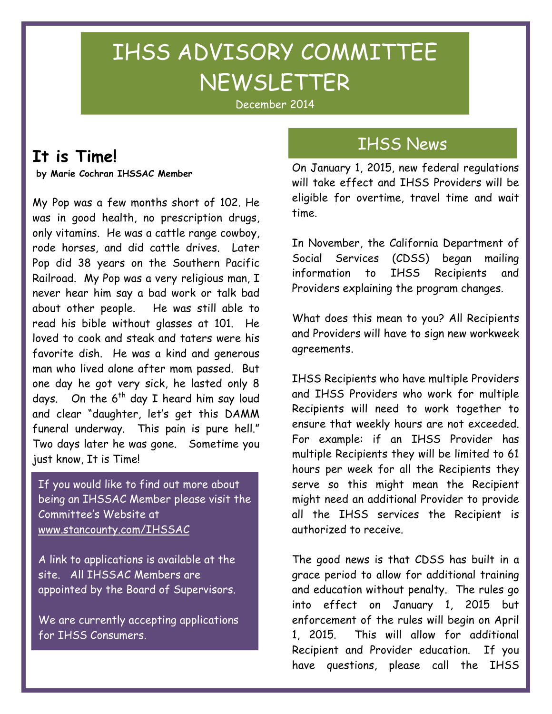# IHSS ADVISORY COMMITTEE NEWSLETTER

December 2014

### It is Time!

ī

by Marie Cochran IHSSAC Member

My Pop was a few months short of 102. He was in good health, no prescription drugs, only vitamins. He was a cattle range cowboy, rode horses, and did cattle drives. Later Pop did 38 years on the Southern Pacific Railroad. My Pop was a very religious man, I never hear him say a bad work or talk bad about other people. He was still able to read his bible without glasses at 101. He loved to cook and steak and taters were his favorite dish. He was a kind and generous man who lived alone after mom passed. But one day he got very sick, he lasted only 8 days. On the  $6<sup>th</sup>$  day I heard him say loud and clear "daughter, let's get this DAMM funeral underway. This pain is pure hell." Two days later he was gone. Sometime you just know, It is Time!

If you would like to find out more about being an IHSSAC Member please visit the Committee's Website at www.stancounty.com/IHSSAC

A link to applications is available at the site. All IHSSAC Members are appointed by the Board of Supervisors.

We are currently accepting applications for IHSS Consumers.

### IHSS News

On January 1, 2015, new federal regulations will take effect and IHSS Providers will be eligible for overtime, travel time and wait time.

In November, the California Department of Social Services (CDSS) began mailing information to IHSS Recipients and Providers explaining the program changes.

What does this mean to you? All Recipients and Providers will have to sign new workweek agreements.

IHSS Recipients who have multiple Providers and IHSS Providers who work for multiple Recipients will need to work together to ensure that weekly hours are not exceeded. For example: if an IHSS Provider has multiple Recipients they will be limited to 61 hours per week for all the Recipients they serve so this might mean the Recipient might need an additional Provider to provide all the IHSS services the Recipient is authorized to receive.

The good news is that CDSS has built in a grace period to allow for additional training and education without penalty. The rules go into effect on January 1, 2015 but enforcement of the rules will begin on April 1, 2015. This will allow for additional Recipient and Provider education. If you have questions, please call the IHSS